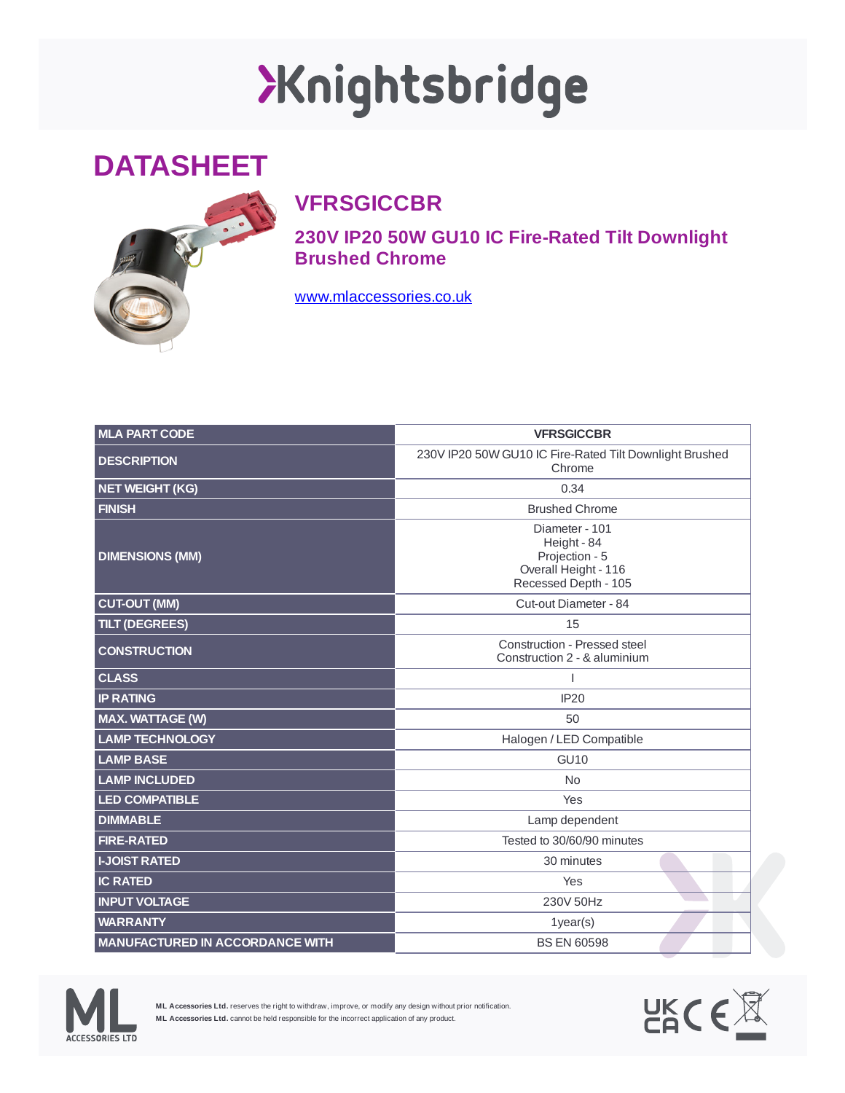## XKnightsbridge

## **DATASHEET**



## **VFRSGICCBR**

**230V IP20 50W GU10 IC Fire-Rated Tilt Downlight Brushed Chrome**

[www.mlaccessories.co.uk](https://www.mlaccessories.co.uk/)

| <b>MLA PART CODE</b>                   | <b>VFRSGICCBR</b>                                                                               |
|----------------------------------------|-------------------------------------------------------------------------------------------------|
| <b>DESCRIPTION</b>                     | 230V IP20 50W GU10 IC Fire-Rated Tilt Downlight Brushed<br>Chrome                               |
| NET WEIGHT (KG)                        | 0.34                                                                                            |
| <b>FINISH</b>                          | <b>Brushed Chrome</b>                                                                           |
| <b>DIMENSIONS (MM)</b>                 | Diameter - 101<br>Height - 84<br>Projection - 5<br>Overall Height - 116<br>Recessed Depth - 105 |
| <b>CUT-OUT (MM)</b>                    | Cut-out Diameter - 84                                                                           |
| <b>TILT (DEGREES)</b>                  | 15                                                                                              |
| <b>CONSTRUCTION</b>                    | Construction - Pressed steel<br>Construction 2 - & aluminium                                    |
| <b>CLASS</b>                           | I                                                                                               |
| <b>IP RATING</b>                       | <b>IP20</b>                                                                                     |
| <b>MAX. WATTAGE (W)</b>                | 50                                                                                              |
| <b>LAMP TECHNOLOGY</b>                 | Halogen / LED Compatible                                                                        |
| <b>LAMP BASE</b>                       | <b>GU10</b>                                                                                     |
| <b>LAMP INCLUDED</b>                   | N <sub>0</sub>                                                                                  |
| <b>LED COMPATIBLE</b>                  | Yes                                                                                             |
| <b>DIMMABLE</b>                        | Lamp dependent                                                                                  |
| <b>FIRE-RATED</b>                      | Tested to 30/60/90 minutes                                                                      |
| <b>I-JOIST RATED</b>                   | 30 minutes                                                                                      |
| <b>IC RATED</b>                        | Yes                                                                                             |
| <b>INPUT VOLTAGE</b>                   | 230V 50Hz                                                                                       |
| <b>WARRANTY</b>                        | $1$ year $(s)$                                                                                  |
| <b>MANUFACTURED IN ACCORDANCE WITH</b> | <b>BS EN 60598</b>                                                                              |



**ML Accessories Ltd.** reserves the right to withdraw, improve, or modify any design without prior notification. **ML Accessories Ltd.** cannot be held responsible for the incorrect application of any product.